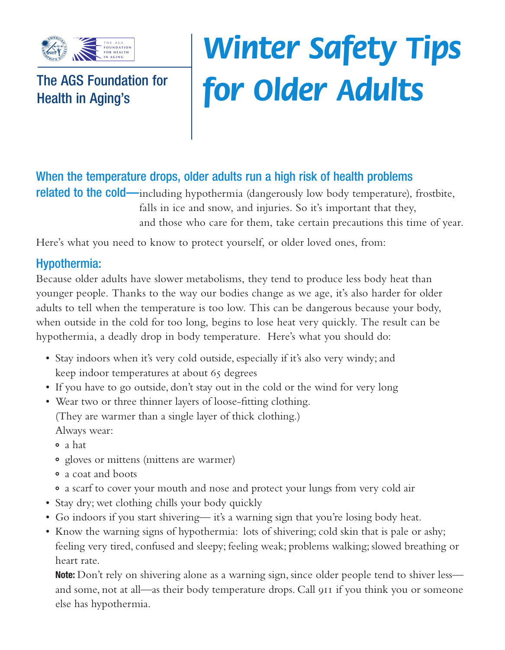

The AGS Foundation for Health in Aging's

# *Winter Safety Tips for Older Adults*

### When the temperature drops, older adults run a high risk of health problems

**related to the cold—**including hypothermia (dangerously low body temperature), frostbite, falls in ice and snow, and injuries. So it's important that they, and those who care for them, take certain precautions this time of year.

Here's what you need to know to protect yourself, or older loved ones, from:

## Hypothermia:

Because older adults have slower metabolisms, they tend to produce less body heat than younger people. Thanks to the way our bodies change as we age, it's also harder for older adults to tell when the temperature is too low. This can be dangerous because your body, when outside in the cold for too long, begins to lose heat very quickly. The result can be hypothermia, a deadly drop in body temperature. Here's what you should do:

- Stay indoors when it's very cold outside, especially if it's also very windy; and keep indoor temperatures at about 65 degrees
- If you have to go outside, don't stay out in the cold or the wind for very long
- Wear two or three thinner layers of loose-fitting clothing. (They are warmer than a single layer of thick clothing.)
	- Always wear:
	- a hat
	- gloves or mittens (mittens are warmer)
	- a coat and boots
	- a scarf to cover your mouth and nose and protect your lungs from very cold air
- Stay dry; wet clothing chills your body quickly
- Go indoors if you start shivering— it's a warning sign that you're losing body heat.
- Know the warning signs of hypothermia: lots of shivering; cold skin that is pale or ashy; feeling very tired, confused and sleepy; feeling weak; problems walking; slowed breathing or heart rate.

**Note:** Don't rely on shivering alone as a warning sign, since older people tend to shiver less and some, not at all—as their body temperature drops. Call 911 if you think you or someone else has hypothermia.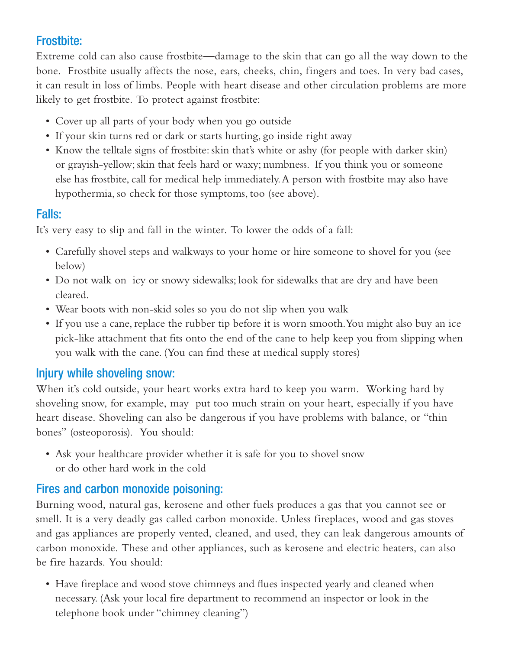# Frostbite:

Extreme cold can also cause frostbite—damage to the skin that can go all the way down to the bone. Frostbite usually affects the nose, ears, cheeks, chin, fingers and toes. In very bad cases, it can result in loss of limbs. People with heart disease and other circulation problems are more likely to get frostbite. To protect against frostbite:

- Cover up all parts of your body when you go outside
- If your skin turns red or dark or starts hurting, go inside right away
- Know the telltale signs of frostbite: skin that's white or ashy (for people with darker skin) or grayish-yellow; skin that feels hard or waxy; numbness. If you think you or someone else has frostbite, call for medical help immediately. A person with frostbite may also have hypothermia, so check for those symptoms, too (see above).

#### Falls:

It's very easy to slip and fall in the winter. To lower the odds of a fall:

- Carefully shovel steps and walkways to your home or hire someone to shovel for you (see below)
- Do not walk on icy or snowy sidewalks; look for sidewalks that are dry and have been cleared.
- Wear boots with non-skid soles so you do not slip when you walk
- If you use a cane, replace the rubber tip before it is worn smooth. You might also buy an ice pick-like attachment that fits onto the end of the cane to help keep you from slipping when you walk with the cane. (You can find these at medical supply stores)

### Injury while shoveling snow:

When it's cold outside, your heart works extra hard to keep you warm. Working hard by shoveling snow, for example, may put too much strain on your heart, especially if you have heart disease. Shoveling can also be dangerous if you have problems with balance, or "thin bones" (osteoporosis). You should:

• Ask your healthcare provider whether it is safe for you to shovel snow or do other hard work in the cold

### Fires and carbon monoxide poisoning:

Burning wood, natural gas, kerosene and other fuels produces a gas that you cannot see or smell. It is a very deadly gas called carbon monoxide. Unless fireplaces, wood and gas stoves and gas appliances are properly vented, cleaned, and used, they can leak dangerous amounts of carbon monoxide. These and other appliances, such as kerosene and electric heaters, can also be fire hazards. You should:

• Have fireplace and wood stove chimneys and flues inspected yearly and cleaned when necessary. (Ask your local fire department to recommend an inspector or look in the telephone book under "chimney cleaning")